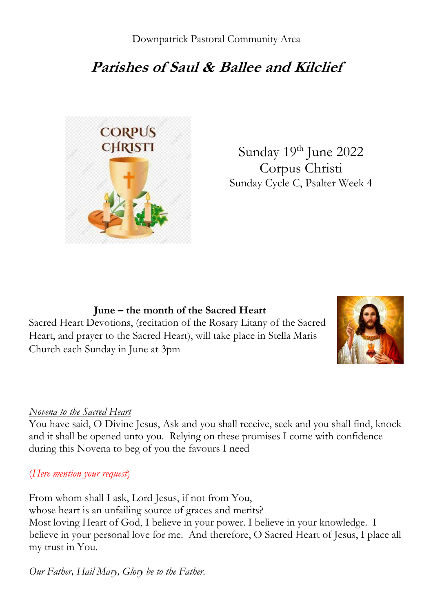# **Parishes of Saul & Ballee and Kilclief**



Sunday 19th June 2022 Corpus Christi Sunday Cycle C, Psalter Week 4

**June – the month of the Sacred Heart** Sacred Heart Devotions, (recitation of the Rosary Litany of the Sacred Heart, and prayer to the Sacred Heart), will take place in Stella Maris Church each Sunday in June at 3pm



#### *Novena to the Sacred Heart*

You have said, O Divine Jesus, Ask and you shall receive, seek and you shall find, knock and it shall be opened unto you. Relying on these promises I come with confidence during this Novena to beg of you the favours I need

#### (*Here mention your request*)

From whom shall I ask, Lord Jesus, if not from You, whose heart is an unfailing source of graces and merits? Most loving Heart of God, I believe in your power. I believe in your knowledge. I believe in your personal love for me. And therefore, O Sacred Heart of Jesus, I place all my trust in You.

*Our Father, Hail Mary, Glory be to the Father.*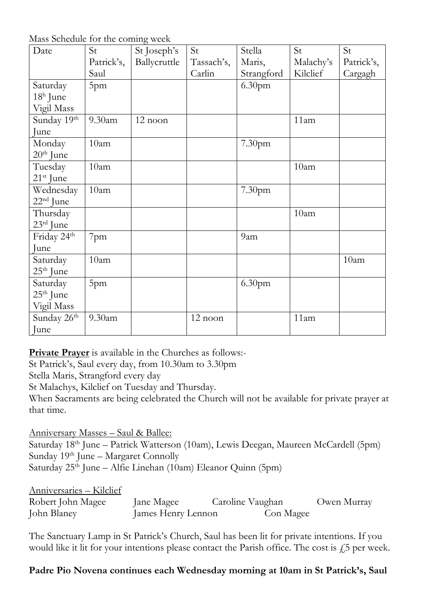Mass Schedule for the coming week

| Date                    | so beneame for and commig week<br>St | St Joseph's  | St         | Stella             | St        | St         |
|-------------------------|--------------------------------------|--------------|------------|--------------------|-----------|------------|
|                         | Patrick's,                           | Ballycruttle | Tassach's, | Maris,             | Malachy's | Patrick's, |
|                         | Saul                                 |              | Carlin     | Strangford         | Kilclief  | Cargagh    |
| Saturday                | 5pm                                  |              |            | 6.30 <sub>pm</sub> |           |            |
| $18h$ June              |                                      |              |            |                    |           |            |
| Vigil Mass              |                                      |              |            |                    |           |            |
| Sunday 19th             | 9.30 <sub>am</sub>                   | 12 noon      |            |                    | 11am      |            |
| June                    |                                      |              |            |                    |           |            |
| Monday                  | 10am                                 |              |            | 7.30pm             |           |            |
| $20th$ June             |                                      |              |            |                    |           |            |
| Tuesday                 | 10am                                 |              |            |                    | 10am      |            |
| $21st$ June             |                                      |              |            |                    |           |            |
| Wednesday               | 10am                                 |              |            | 7.30pm             |           |            |
| $22nd$ June             |                                      |              |            |                    |           |            |
| Thursday                |                                      |              |            |                    | 10am      |            |
| 23rd June               |                                      |              |            |                    |           |            |
| Friday 24th             | 7pm                                  |              |            | 9am                |           |            |
| June                    |                                      |              |            |                    |           |            |
| Saturday                | 10am                                 |              |            |                    |           | 10am       |
| $25th$ June             |                                      |              |            |                    |           |            |
| Saturday                | 5pm                                  |              |            | 6.30 <sub>pm</sub> |           |            |
| $25th$ June             |                                      |              |            |                    |           |            |
| Vigil Mass              |                                      |              |            |                    |           |            |
| Sunday 26 <sup>th</sup> | 9.30am                               |              | 12 noon    |                    | 11am      |            |
| June                    |                                      |              |            |                    |           |            |

**Private Prayer** is available in the Churches as follows:-

St Patrick's, Saul every day, from 10.30am to 3.30pm

Stella Maris, Strangford every day

St Malachys, Kilclief on Tuesday and Thursday.

When Sacraments are being celebrated the Church will not be available for private prayer at that time.

Anniversary Masses – Saul & Ballee:

Saturday 18th June – Patrick Watterson (10am), Lewis Deegan, Maureen McCardell (5pm) Sunday 19<sup>th</sup> June – Margaret Connolly Saturday 25<sup>th</sup> June – Alfie Linehan (10am) Eleanor Quinn (5pm)

Anniversaries – Kilclief

| Robert John Magee | Jane Magee         | Caroline Vaughan | Owen Murray |
|-------------------|--------------------|------------------|-------------|
| John Blaney       | James Henry Lennon | Con Magee        |             |

The Sanctuary Lamp in St Patrick's Church, Saul has been lit for private intentions. If you would like it lit for your intentions please contact the Parish office. The cost is  $f<sub>1</sub>5$  per week.

#### **Padre Pio Novena continues each Wednesday morning at 10am in St Patrick's, Saul**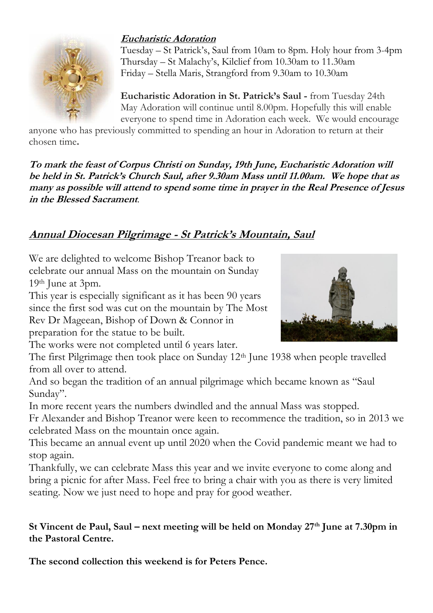### **Eucharistic Adoration**



Tuesday – St Patrick's, Saul from 10am to 8pm. Holy hour from 3-4pm Thursday – St Malachy's, Kilclief from 10.30am to 11.30am Friday – Stella Maris, Strangford from 9.30am to 10.30am

**Eucharistic Adoration in St. Patrick's Saul -** from Tuesday 24th May Adoration will continue until 8.00pm. Hopefully this will enable everyone to spend time in Adoration each week. We would encourage

anyone who has previously committed to spending an hour in Adoration to return at their chosen time**.**

**To mark the feast of Corpus Christi on Sunday, 19th June, Eucharistic Adoration will be held in St. Patrick's Church Saul, after 9.30am Mass until 11.00am. We hope that as many as possible will attend to spend some time in prayer in the Real Presence of Jesus in the Blessed Sacrament**.

## **Annual Diocesan Pilgrimage - St Patrick's Mountain, Saul**

We are delighted to welcome Bishop Treanor back to celebrate our annual Mass on the mountain on Sunday 19th June at 3pm.

This year is especially significant as it has been 90 years since the first sod was cut on the mountain by The Most Rev Dr Mageean, Bishop of Down & Connor in preparation for the statue to be built.

The works were not completed until 6 years later.

The first Pilgrimage then took place on Sunday 12<sup>th</sup> June 1938 when people travelled from all over to attend.

And so began the tradition of an annual pilgrimage which became known as "Saul Sunday".

In more recent years the numbers dwindled and the annual Mass was stopped.

Fr Alexander and Bishop Treanor were keen to recommence the tradition, so in 2013 we celebrated Mass on the mountain once again.

This became an annual event up until 2020 when the Covid pandemic meant we had to stop again.

Thankfully, we can celebrate Mass this year and we invite everyone to come along and bring a picnic for after Mass. Feel free to bring a chair with you as there is very limited seating. Now we just need to hope and pray for good weather.

#### **St Vincent de Paul, Saul – next meeting will be held on Monday 27th June at 7.30pm in the Pastoral Centre.**

**The second collection this weekend is for Peters Pence.**